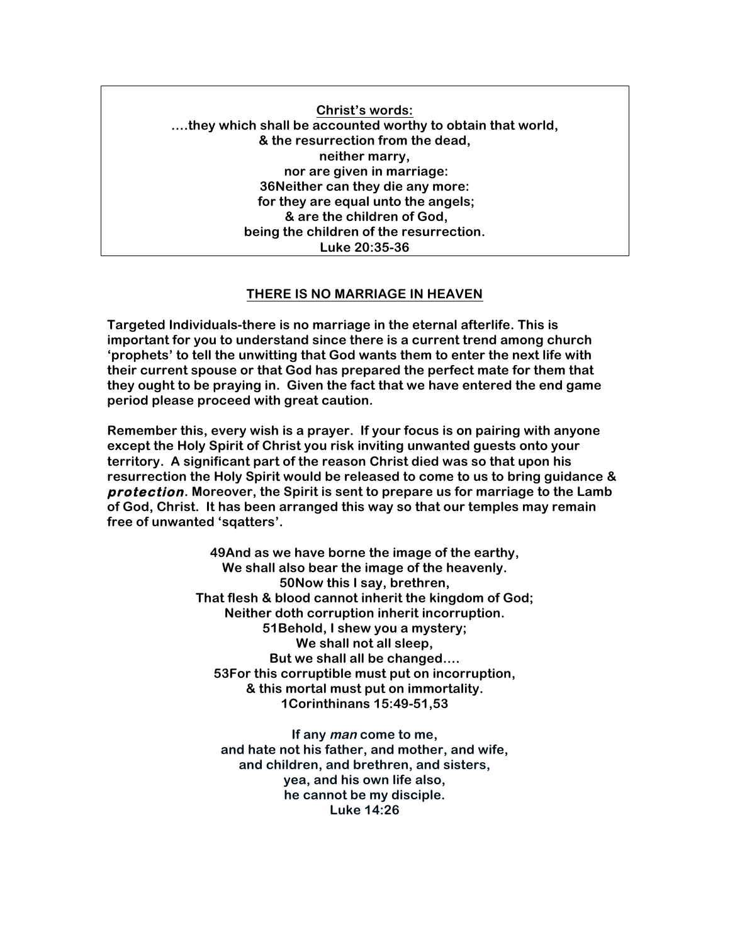**Christ's words: ….they which shall be accounted worthy to obtain that world, & the resurrection from the dead, neither marry, nor are given in marriage: 36Neither can they die any more: for they are equal unto the angels; & are the children of God, being the children of the resurrection. Luke 20:35-36**

## **THERE IS NO MARRIAGE IN HEAVEN**

**Targeted Individuals-there is no marriage in the eternal afterlife. This is important for you to understand since there is a current trend among church 'prophets' to tell the unwitting that God wants them to enter the next life with their current spouse or that God has prepared the perfect mate for them that they ought to be praying in. Given the fact that we have entered the end game period please proceed with great caution.** 

**Remember this, every wish is a prayer. If your focus is on pairing with anyone except the Holy Spirit of Christ you risk inviting unwanted guests onto your territory. A significant part of the reason Christ died was so that upon his resurrection the Holy Spirit would be released to come to us to bring guidance & protection. Moreover, the Spirit is sent to prepare us for marriage to the Lamb of God, Christ. It has been arranged this way so that our temples may remain free of unwanted 'sqatters'.**

> **49And as we have borne the image of the earthy, We shall also bear the image of the heavenly. 50Now this I say, brethren, That flesh & blood cannot inherit the kingdom of God; Neither doth corruption inherit incorruption. 51Behold, I shew you a mystery; We shall not all sleep, But we shall all be changed…. 53For this corruptible must put on incorruption, & this mortal must put on immortality. 1Corinthinans 15:49-51,53**

**If any man come to me, and hate not his father, and mother, and wife, and children, and brethren, and sisters, yea, and his own life also, he cannot be my disciple. Luke 14:26**